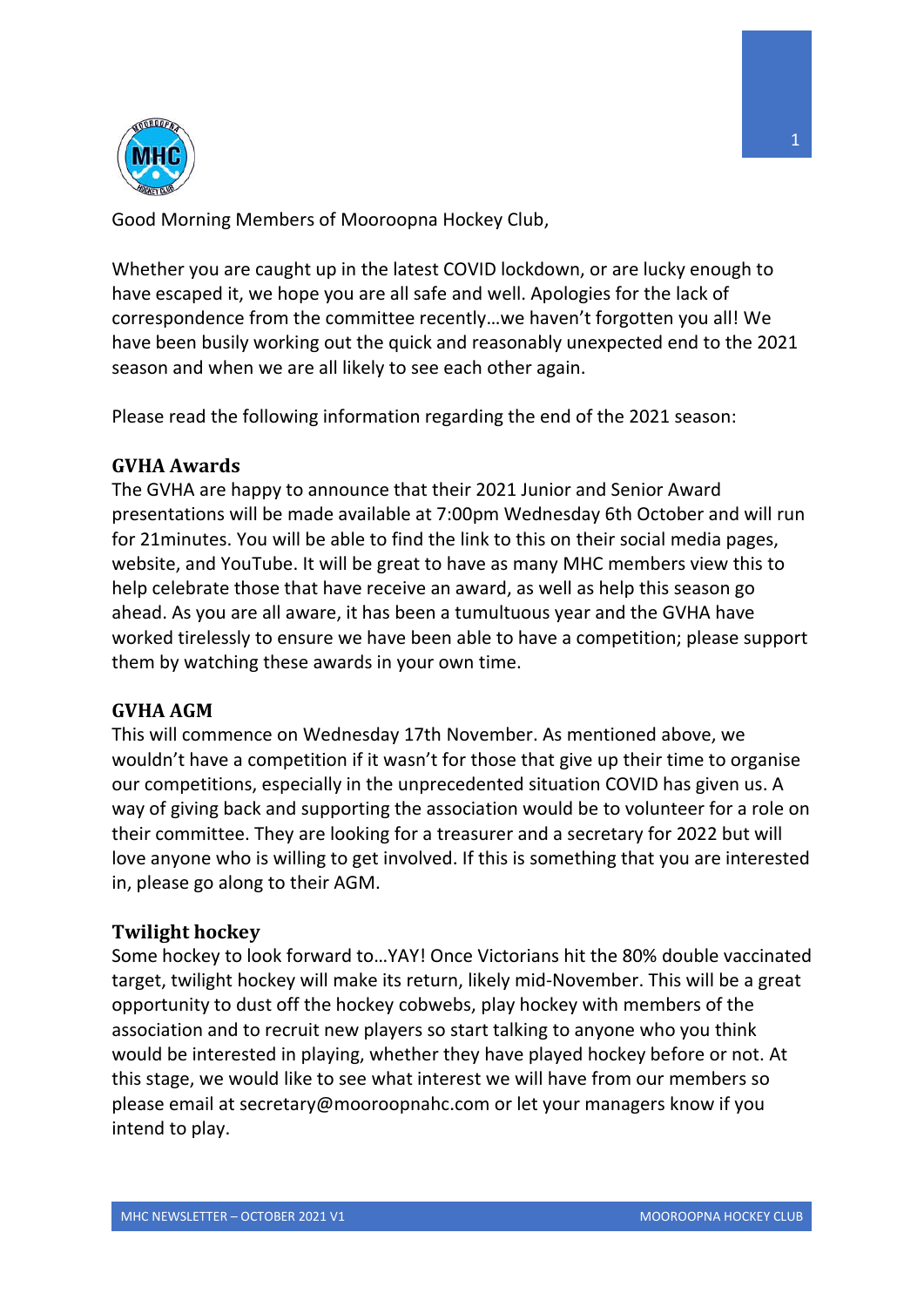

Good Morning Members of Mooroopna Hockey Club,

Whether you are caught up in the latest COVID lockdown, or are lucky enough to have escaped it, we hope you are all safe and well. Apologies for the lack of correspondence from the committee recently…we haven't forgotten you all! We have been busily working out the quick and reasonably unexpected end to the 2021 season and when we are all likely to see each other again.

Please read the following information regarding the end of the 2021 season:

## **GVHA Awards**

The GVHA are happy to announce that their 2021 Junior and Senior Award presentations will be made available at 7:00pm Wednesday 6th October and will run for 21minutes. You will be able to find the link to this on their social media pages, website, and YouTube. It will be great to have as many MHC members view this to help celebrate those that have receive an award, as well as help this season go ahead. As you are all aware, it has been a tumultuous year and the GVHA have worked tirelessly to ensure we have been able to have a competition; please support them by watching these awards in your own time.

## **GVHA AGM**

This will commence on Wednesday 17th November. As mentioned above, we wouldn't have a competition if it wasn't for those that give up their time to organise our competitions, especially in the unprecedented situation COVID has given us. A way of giving back and supporting the association would be to volunteer for a role on their committee. They are looking for a treasurer and a secretary for 2022 but will love anyone who is willing to get involved. If this is something that you are interested in, please go along to their AGM.

## **Twilight hockey**

Some hockey to look forward to…YAY! Once Victorians hit the 80% double vaccinated target, twilight hockey will make its return, likely mid-November. This will be a great opportunity to dust off the hockey cobwebs, play hockey with members of the association and to recruit new players so start talking to anyone who you think would be interested in playing, whether they have played hockey before or not. At this stage, we would like to see what interest we will have from our members so please email at secretary@mooroopnahc.com or let your managers know if you intend to play.